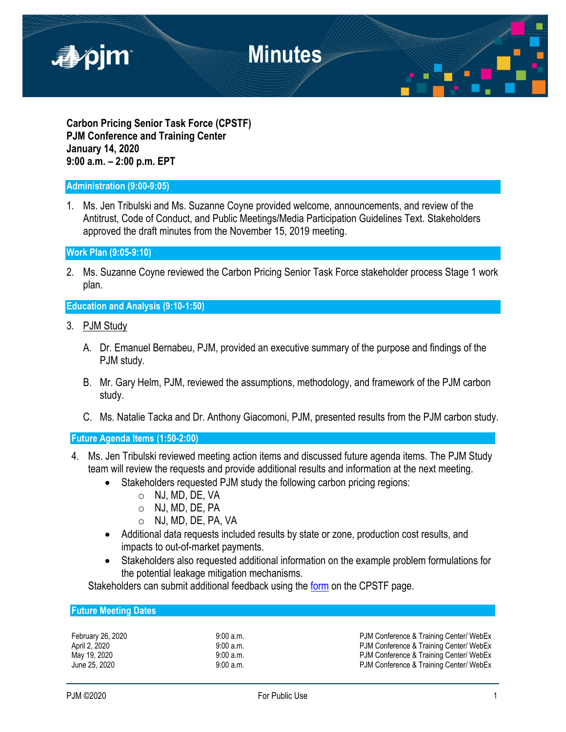

**Carbon Pricing Senior Task Force (CPSTF) PJM Conference and Training Center January 14, 2020 9:00 a.m. – 2:00 p.m. EPT**

### **Administration (9:00-9:05)**

1. Ms. Jen Tribulski and Ms. Suzanne Coyne provided welcome, announcements, and review of the Antitrust, Code of Conduct, and Public Meetings/Media Participation Guidelines Text. Stakeholders approved the draft minutes from the November 15, 2019 meeting.

**Work Plan (9:05-9:10)**

2. Ms. Suzanne Coyne reviewed the Carbon Pricing Senior Task Force stakeholder process Stage 1 work plan.

### **Education and Analysis (9:10-1:50)**

- 3. PJM Study
	- A. Dr. Emanuel Bernabeu, PJM, provided an executive summary of the purpose and findings of the PJM study.
	- B. Mr. Gary Helm, PJM, reviewed the assumptions, methodology, and framework of the PJM carbon study.
	- C. Ms. Natalie Tacka and Dr. Anthony Giacomoni, PJM, presented results from the PJM carbon study.

**Future Agenda Items (1:50-2:00)**

- 4. Ms. Jen Tribulski reviewed meeting action items and discussed future agenda items. The PJM Study team will review the requests and provide additional results and information at the next meeting.
	- Stakeholders requested PJM study the following carbon pricing regions:
		- o NJ, MD, DE, VA
		- o NJ, MD, DE, PA
		- o NJ, MD, DE, PA, VA
	- Additional data requests included results by state or zone, production cost results, and impacts to out-of-market payments.
	- Stakeholders also requested additional information on the example problem formulations for the potential leakage mitigation mechanisms.

Stakeholders can submit additional feedback using the [form](https://survey.qualtrics.com/jfe/form/SV_0NRZm4mhXYl94sR) on the CPSTF page.

| <b>Future Meeting Dates</b> |  |
|-----------------------------|--|
|                             |  |

February 26, 2020 **9:00 a.m.** 9:00 a.m. PJM Conference & Training Center/ WebEx April 2, 2020 9:00 a.m. 9:00 a.m. PJM Conference & Training Center/ WebEx May 19, 2020 **19:00 A.m.** 9:00 a.m. PJM Conference & Training Center/ WebEx June 25, 2020 **9:00 a.m.** 9:00 a.m. PJM Conference & Training Center/ WebEx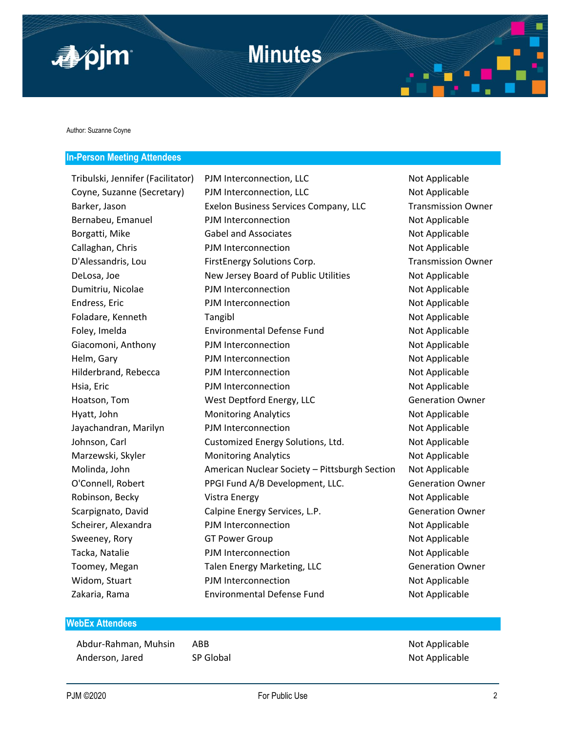

Author: Suzanne Coyne

### **In-Person Meeting Attendees**

| Tribulski, Jennifer (Facilitator) | PJM Interconnection, LLC                      | Not Applicable            |
|-----------------------------------|-----------------------------------------------|---------------------------|
| Coyne, Suzanne (Secretary)        | PJM Interconnection, LLC                      | Not Applicable            |
| Barker, Jason                     | Exelon Business Services Company, LLC         | <b>Transmission Owner</b> |
| Bernabeu, Emanuel                 | PJM Interconnection                           | Not Applicable            |
| Borgatti, Mike                    | <b>Gabel and Associates</b>                   | Not Applicable            |
| Callaghan, Chris                  | PJM Interconnection                           | Not Applicable            |
| D'Alessandris, Lou                | FirstEnergy Solutions Corp.                   | <b>Transmission Owner</b> |
| DeLosa, Joe                       | New Jersey Board of Public Utilities          | Not Applicable            |
| Dumitriu, Nicolae                 | PJM Interconnection                           | Not Applicable            |
| Endress, Eric                     | PJM Interconnection                           | Not Applicable            |
| Foladare, Kenneth                 | Tangibl                                       | Not Applicable            |
| Foley, Imelda                     | <b>Environmental Defense Fund</b>             | Not Applicable            |
| Giacomoni, Anthony                | PJM Interconnection                           | Not Applicable            |
| Helm, Gary                        | PJM Interconnection                           | Not Applicable            |
| Hilderbrand, Rebecca              | PJM Interconnection                           | Not Applicable            |
| Hsia, Eric                        | PJM Interconnection                           | Not Applicable            |
| Hoatson, Tom                      | West Deptford Energy, LLC                     | <b>Generation Owner</b>   |
| Hyatt, John                       | <b>Monitoring Analytics</b>                   | Not Applicable            |
| Jayachandran, Marilyn             | PJM Interconnection                           | Not Applicable            |
| Johnson, Carl                     | Customized Energy Solutions, Ltd.             | Not Applicable            |
| Marzewski, Skyler                 | <b>Monitoring Analytics</b>                   | Not Applicable            |
| Molinda, John                     | American Nuclear Society - Pittsburgh Section | Not Applicable            |
| O'Connell, Robert                 | PPGI Fund A/B Development, LLC.               | <b>Generation Owner</b>   |
| Robinson, Becky                   | <b>Vistra Energy</b>                          | Not Applicable            |
| Scarpignato, David                | Calpine Energy Services, L.P.                 | <b>Generation Owner</b>   |
| Scheirer, Alexandra               | PJM Interconnection                           | Not Applicable            |
| Sweeney, Rory                     | <b>GT Power Group</b>                         | Not Applicable            |
| Tacka, Natalie                    | PJM Interconnection                           | Not Applicable            |
| Toomey, Megan                     | Talen Energy Marketing, LLC                   | <b>Generation Owner</b>   |
| Widom, Stuart                     | PJM Interconnection                           | Not Applicable            |
| Zakaria, Rama                     | <b>Environmental Defense Fund</b>             | Not Applicable            |

## **WebEx Attendees**

Abdur-Rahman, Muhsin ABB Not Applicable Anderson, Jared SP Global SP Global Not Applicable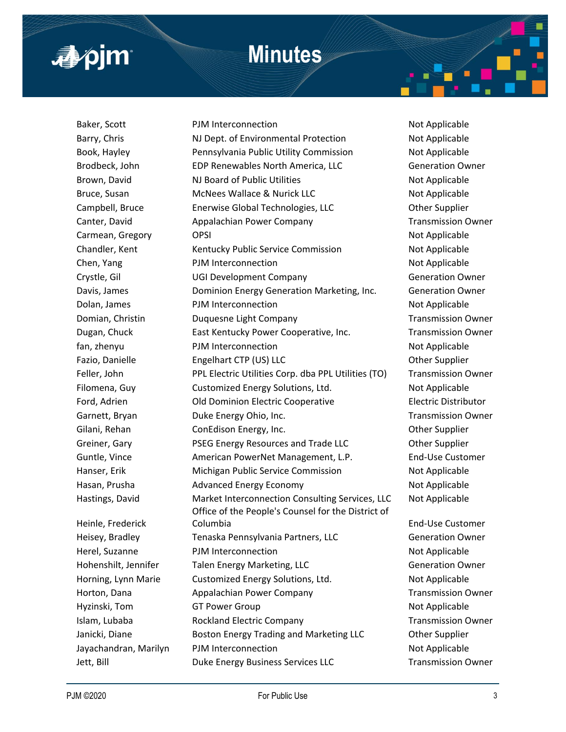# **Minutes**



Heinle, Frederick

Baker, Scott **PJM Interconnection** and the Not Applicable Barry, Chris **NJ Dept. of Environmental Protection** Not Applicable Book, Hayley **Pennsylvania Public Utility Commission** Not Applicable Brodbeck, John **EDP Renewables North America, LLC** Generation Owner Brown, David **NJ Board of Public Utilities** Not Applicable Bruce, Susan McNees Wallace & Nurick LLC Not Applicable Campbell, Bruce Enerwise Global Technologies, LLC Other Supplier Canter, David **Appalachian Power Company** Transmission Owner Carmean, Gregory CPSI OPSI Not Applicable Chandler, Kent Kentucky Public Service Commission Not Applicable Chen, Yang Not Applicable PJM Interconnection Not Applicable Crystle, Gil **Calculate Company** Crystle, Gil Crystle, Gil Company Company Generation Owner Davis, James Dominion Energy Generation Marketing, Inc. Generation Owner Dolan, James **PJM** Interconnection **Not Applicable** Not Applicable Domian, Christin **Duquesne Light Company Company** Transmission Owner Dugan, Chuck East Kentucky Power Cooperative, Inc. Transmission Owner fan, zhenyu PJM Interconnection Not Applicable Fazio, Danielle **Engelhart CTP (US) LLC** CHERAGION COMPOSITION CONTRACTED BY A COMPOSITION CONTRACTED BY A CONTR Feller, John **PPL Electric Utilities Corp. dba PPL Utilities (TO)** Transmission Owner Filomena, Guy Customized Energy Solutions, Ltd. Not Applicable Ford, Adrien Old Dominion Electric Cooperative Electric Distributor Garnett, Bryan **Duke Energy Ohio, Inc.** Transmission Owner Gilani, Rehan ConEdison Energy, Inc. Other Supplier Greiner, Gary PSEG Energy Resources and Trade LLC Other Supplier Guntle, Vince **American PowerNet Management, L.P.** End-Use Customer Hanser, Erik Michigan Public Service Commission Not Applicable Hasan, Prusha **Advanced Energy Economy** Not Applicable Hastings, David Market Interconnection Consulting Services, LLC Not Applicable Office of the People's Counsel for the District of Columbia End-Use Customer Heisey, Bradley **Tenaska Pennsylvania Partners, LLC** Generation Owner Herel, Suzanne **PJM Interconnection** Not Applicable Hohenshilt, Jennifer Talen Energy Marketing, LLC Generation Owner Horning, Lynn Marie Customized Energy Solutions, Ltd. Not Applicable Horton, Dana **Appalachian Power Company** Transmission Owner Hyzinski, Tom GT Power Group Not Applicable Not Applicable Islam, Lubaba **Rockland Electric Company Transmission Owner** Janicki, Diane **Boston Energy Trading and Marketing LLC Communisty Communisty** Other Supplier Jayachandran, Marilyn PJM Interconnection Not Applicable

Jett, Bill Duke Energy Business Services LLC Transmission Owner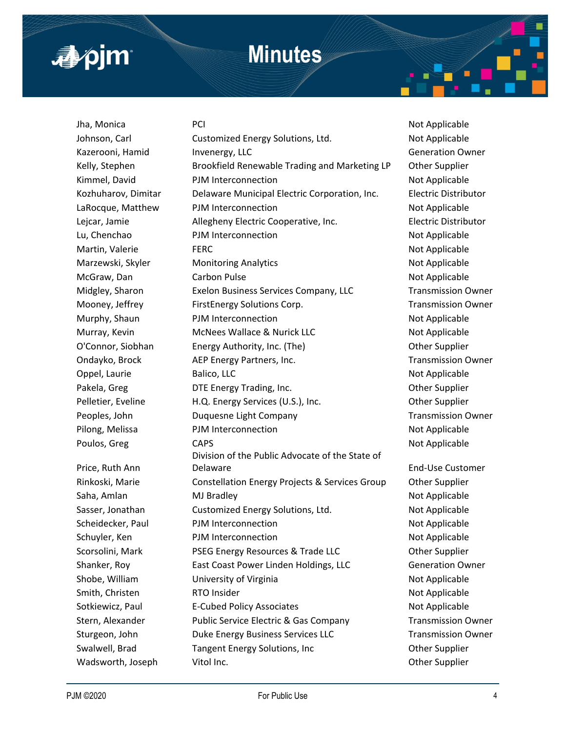

# **Minutes**

Jha, Monica PCI Not Applicable Price, Ruth Ann

Johnson, Carl **Customized Energy Solutions, Ltd.** Not Applicable Kazerooni, Hamid Invenergy, LLC **Inventergy, LLC** Generation Owner Kelly, Stephen Brookfield Renewable Trading and Marketing LP Other Supplier Kimmel, David **PJM Interconnection** Not Applicable Kozhuharov, Dimitar Delaware Municipal Electric Corporation, Inc. Electric Distributor LaRocque, Matthew PJM Interconnection Not Applicable Lejcar, Jamie Allegheny Electric Cooperative, Inc. Electric Distributor Lu, Chenchao PJM Interconnection Not Applicable Martin, Valerie **FERC** FERC **Research Accord FERC** Not Applicable Marzewski, Skyler Monitoring Analytics Not Applicable Not Applicable McGraw, Dan Carbon Pulse Not Applicable Not Applicable Midgley, Sharon Exelon Business Services Company, LLC Transmission Owner Mooney, Jeffrey **FirstEnergy Solutions Corp.** Transmission Owner Murphy, Shaun PJM Interconnection Nurphy, Shaun Not Applicable Murray, Kevin **MCNees Wallace & Nurick LLC** Nurray, Kevin Mot Applicable O'Connor, Siobhan Energy Authority, Inc. (The) Other Supplier Ondayko, Brock **AEP Energy Partners, Inc.** Transmission Owner Oppel, Laurie Balico, LLC Not Applicable Pakela, Greg **DTE Energy Trading, Inc.** Character Communist Communist Communist Communist Communist Communist Communist Communist Communist Communist Communist Communist Communist Communist Communist Communist Communist Co Pelletier, Eveline H.Q. Energy Services (U.S.), Inc. 6 Other Supplier Peoples, John **Duquesne Light Company Company** Transmission Owner Pilong, Melissa **PJM Interconnection** Not Applicable Poulos, Greg CAPS CAPS CAPS Not Applicable Division of the Public Advocate of the State of Delaware **End-Use Customer** Rinkoski, Marie Constellation Energy Projects & Services Group Other Supplier Saha, Amlan MJ Bradley Not Applicable Not Applicable Sasser, Jonathan Customized Energy Solutions, Ltd. Not Applicable Scheidecker, Paul PJM Interconnection Not Applicable Schuyler, Ken **PJM Interconnection** and the Not Applicable Scorsolini, Mark **PSEG Energy Resources & Trade LLC** Other Supplier Shanker, Roy **East Coast Power Linden Holdings, LLC** Generation Owner Shobe, William **University of Virginia** Not Applicable Smith, Christen **RTO Insider Not Applicable** Not Applicable Sotkiewicz, Paul **E-Cubed Policy Associates** Not Applicable Stern, Alexander **Public Service Electric & Gas Company** Transmission Owner Sturgeon, John **Duke Energy Business Services LLC** Transmission Owner Swalwell, Brad Tangent Energy Solutions, Inc Changent Energy Solutions, Inc Other Supplier Wadsworth, Joseph Vitol Inc. Communication of the Supplier Communication of the Supplier